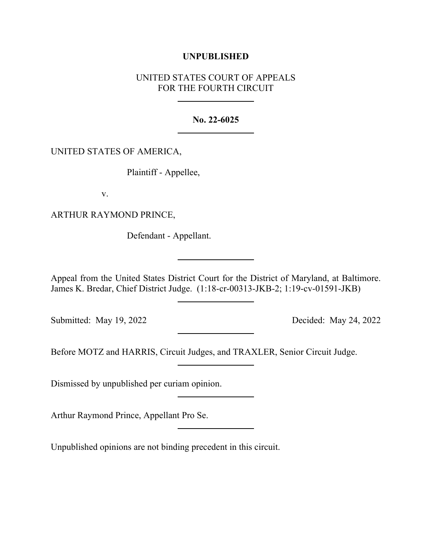# **UNPUBLISHED**

# UNITED STATES COURT OF APPEALS FOR THE FOURTH CIRCUIT

### **No. 22-6025**

## UNITED STATES OF AMERICA,

Plaintiff - Appellee,

v.

ARTHUR RAYMOND PRINCE,

Defendant - Appellant.

Appeal from the United States District Court for the District of Maryland, at Baltimore. James K. Bredar, Chief District Judge. (1:18-cr-00313-JKB-2; 1:19-cv-01591-JKB)

Submitted: May 19, 2022 Decided: May 24, 2022

Before MOTZ and HARRIS, Circuit Judges, and TRAXLER, Senior Circuit Judge.

Dismissed by unpublished per curiam opinion.

Arthur Raymond Prince, Appellant Pro Se.

Unpublished opinions are not binding precedent in this circuit.